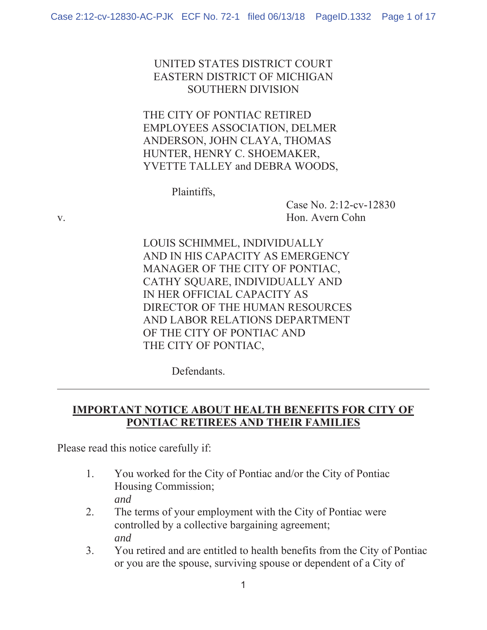### UNITED STATES DISTRICT COURT EASTERN DISTRICT OF MICHIGAN SOUTHERN DIVISION

## THE CITY OF PONTIAC RETIRED EMPLOYEES ASSOCIATION, DELMER ANDERSON, JOHN CLAYA, THOMAS HUNTER, HENRY C. SHOEMAKER, YVETTE TALLEY and DEBRA WOODS,

Plaintiffs,

 Case No. 2:12-cv-12830 v. Hon. Avern Cohn

> LOUIS SCHIMMEL, INDIVIDUALLY AND IN HIS CAPACITY AS EMERGENCY MANAGER OF THE CITY OF PONTIAC, CATHY SQUARE, INDIVIDUALLY AND IN HER OFFICIAL CAPACITY AS DIRECTOR OF THE HUMAN RESOURCES AND LABOR RELATIONS DEPARTMENT OF THE CITY OF PONTIAC AND THE CITY OF PONTIAC,

> > Defendants.

## **IMPORTANT NOTICE ABOUT HEALTH BENEFITS FOR CITY OF PONTIAC RETIREES AND THEIR FAMILIES**

Please read this notice carefully if:

- 1. You worked for the City of Pontiac and/or the City of Pontiac Housing Commission; *and*
- 2. The terms of your employment with the City of Pontiac were controlled by a collective bargaining agreement; *and*
- 3. You retired and are entitled to health benefits from the City of Pontiac or you are the spouse, surviving spouse or dependent of a City of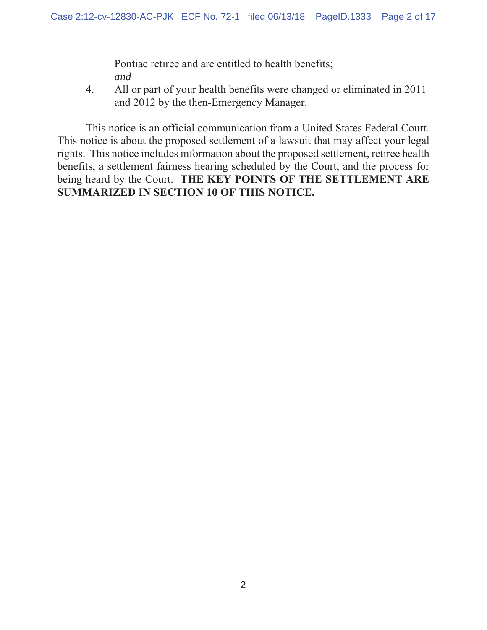Pontiac retiree and are entitled to health benefits; *and*

4. All or part of your health benefits were changed or eliminated in 2011 and 2012 by the then-Emergency Manager.

 This notice is an official communication from a United States Federal Court. This notice is about the proposed settlement of a lawsuit that may affect your legal rights. This notice includes information about the proposed settlement, retiree health benefits, a settlement fairness hearing scheduled by the Court, and the process for being heard by the Court. **THE KEY POINTS OF THE SETTLEMENT ARE SUMMARIZED IN SECTION 10 OF THIS NOTICE.**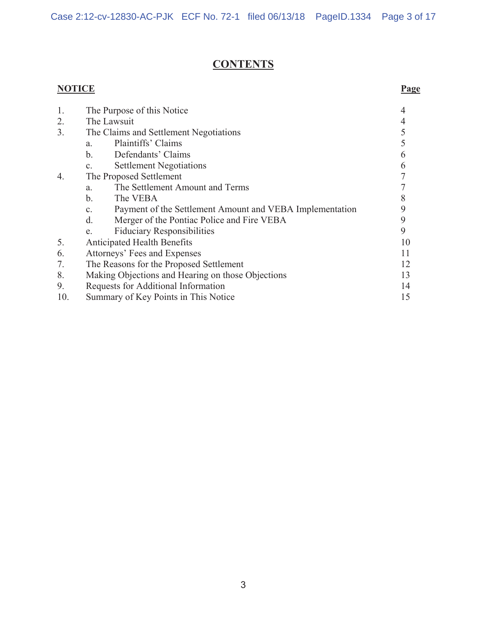# **CONTENTS**

# **NOTICE Page**

| 1.  | The Purpose of this Notice                                                 |    |
|-----|----------------------------------------------------------------------------|----|
| 2.  | The Lawsuit                                                                |    |
| 3.  | The Claims and Settlement Negotiations                                     |    |
|     | Plaintiffs' Claims<br>a.                                                   | 5  |
|     | b.<br>Defendants' Claims                                                   | h  |
|     | <b>Settlement Negotiations</b><br>C <sub>1</sub>                           | 6  |
| 4.  | The Proposed Settlement                                                    | 7  |
|     | The Settlement Amount and Terms<br>a.                                      |    |
|     | The VEBA<br>$\mathbf{b}$ .                                                 |    |
|     | Payment of the Settlement Amount and VEBA Implementation<br>$\mathbf{c}$ . | 9  |
|     | d.<br>Merger of the Pontiac Police and Fire VEBA                           | 9  |
|     | <b>Fiduciary Responsibilities</b><br>e.                                    | 9  |
| 5.  | <b>Anticipated Health Benefits</b>                                         | 10 |
| 6.  | Attorneys' Fees and Expenses                                               | 11 |
| 7.  | The Reasons for the Proposed Settlement                                    | 12 |
| 8.  | Making Objections and Hearing on those Objections                          | 13 |
| 9.  | Requests for Additional Information                                        | 14 |
| 10. | Summary of Key Points in This Notice                                       | 15 |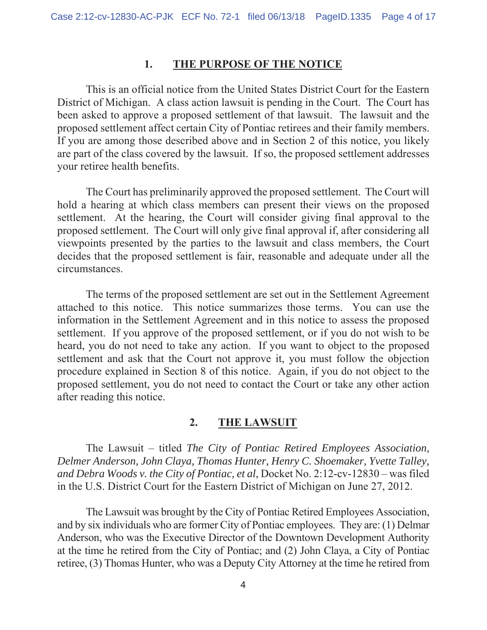#### **1. THE PURPOSE OF THE NOTICE**

This is an official notice from the United States District Court for the Eastern District of Michigan. A class action lawsuit is pending in the Court. The Court has been asked to approve a proposed settlement of that lawsuit. The lawsuit and the proposed settlement affect certain City of Pontiac retirees and their family members. If you are among those described above and in Section 2 of this notice, you likely are part of the class covered by the lawsuit. If so, the proposed settlement addresses your retiree health benefits.

The Court has preliminarily approved the proposed settlement. The Court will hold a hearing at which class members can present their views on the proposed settlement. At the hearing, the Court will consider giving final approval to the proposed settlement. The Court will only give final approval if, after considering all viewpoints presented by the parties to the lawsuit and class members, the Court decides that the proposed settlement is fair, reasonable and adequate under all the circumstances.

The terms of the proposed settlement are set out in the Settlement Agreement attached to this notice. This notice summarizes those terms. You can use the information in the Settlement Agreement and in this notice to assess the proposed settlement. If you approve of the proposed settlement, or if you do not wish to be heard, you do not need to take any action. If you want to object to the proposed settlement and ask that the Court not approve it, you must follow the objection procedure explained in Section 8 of this notice. Again, if you do not object to the proposed settlement, you do not need to contact the Court or take any other action after reading this notice.

### **2. THE LAWSUIT**

 The Lawsuit – titled *The City of Pontiac Retired Employees Association, Delmer Anderson, John Claya, Thomas Hunter, Henry C. Shoemaker, Yvette Talley, and Debra Woods v. the City of Pontiac, et al*, Docket No. 2:12-cv-12830 – was filed in the U.S. District Court for the Eastern District of Michigan on June 27, 2012.

 The Lawsuit was brought by the City of Pontiac Retired Employees Association, and by six individuals who are former City of Pontiac employees. They are: (1) Delmar Anderson, who was the Executive Director of the Downtown Development Authority at the time he retired from the City of Pontiac; and (2) John Claya, a City of Pontiac retiree, (3) Thomas Hunter, who was a Deputy City Attorney at the time he retired from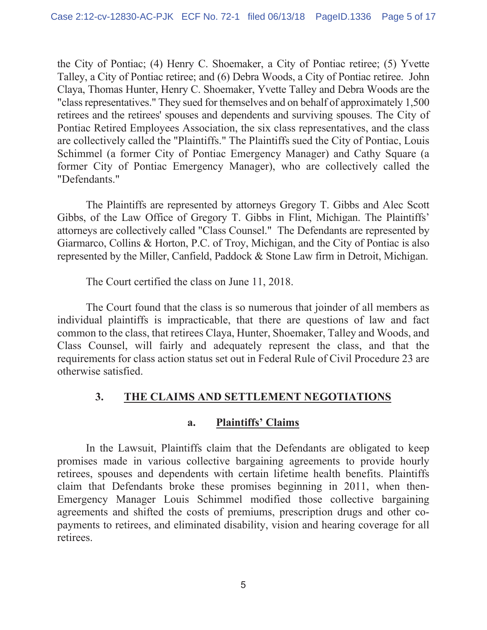the City of Pontiac; (4) Henry C. Shoemaker, a City of Pontiac retiree; (5) Yvette Talley, a City of Pontiac retiree; and (6) Debra Woods, a City of Pontiac retiree. John Claya, Thomas Hunter, Henry C. Shoemaker, Yvette Talley and Debra Woods are the "class representatives." They sued for themselves and on behalf of approximately 1,500 retirees and the retirees' spouses and dependents and surviving spouses. The City of Pontiac Retired Employees Association, the six class representatives, and the class are collectively called the "Plaintiffs." The Plaintiffs sued the City of Pontiac, Louis Schimmel (a former City of Pontiac Emergency Manager) and Cathy Square (a former City of Pontiac Emergency Manager), who are collectively called the "Defendants."

The Plaintiffs are represented by attorneys Gregory T. Gibbs and Alec Scott Gibbs, of the Law Office of Gregory T. Gibbs in Flint, Michigan. The Plaintiffs' attorneys are collectively called "Class Counsel." The Defendants are represented by Giarmarco, Collins & Horton, P.C. of Troy, Michigan, and the City of Pontiac is also represented by the Miller, Canfield, Paddock & Stone Law firm in Detroit, Michigan.

The Court certified the class on June 11, 2018.

The Court found that the class is so numerous that joinder of all members as individual plaintiffs is impracticable, that there are questions of law and fact common to the class, that retirees Claya, Hunter, Shoemaker, Talley and Woods, and Class Counsel, will fairly and adequately represent the class, and that the requirements for class action status set out in Federal Rule of Civil Procedure 23 are otherwise satisfied.

## **3. THE CLAIMS AND SETTLEMENT NEGOTIATIONS**

## **a. Plaintiffs' Claims**

In the Lawsuit, Plaintiffs claim that the Defendants are obligated to keep promises made in various collective bargaining agreements to provide hourly retirees, spouses and dependents with certain lifetime health benefits. Plaintiffs claim that Defendants broke these promises beginning in 2011, when then-Emergency Manager Louis Schimmel modified those collective bargaining agreements and shifted the costs of premiums, prescription drugs and other copayments to retirees, and eliminated disability, vision and hearing coverage for all retirees.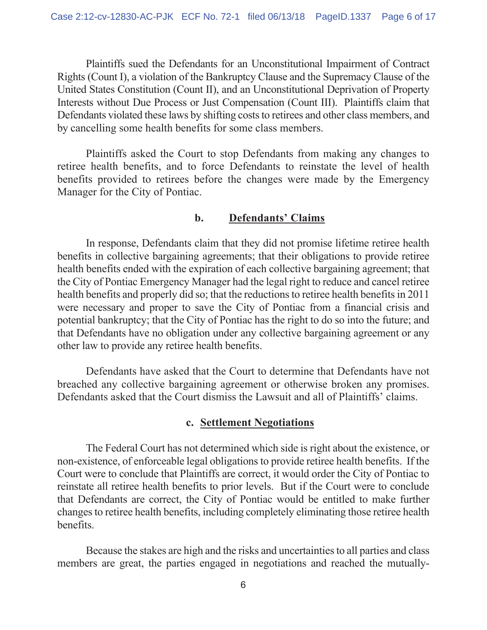Plaintiffs sued the Defendants for an Unconstitutional Impairment of Contract Rights (Count I), a violation of the Bankruptcy Clause and the Supremacy Clause of the United States Constitution (Count II), and an Unconstitutional Deprivation of Property Interests without Due Process or Just Compensation (Count III). Plaintiffs claim that Defendants violated these laws by shifting costs to retirees and other class members, and by cancelling some health benefits for some class members.

Plaintiffs asked the Court to stop Defendants from making any changes to retiree health benefits, and to force Defendants to reinstate the level of health benefits provided to retirees before the changes were made by the Emergency Manager for the City of Pontiac.

### **b. Defendants' Claims**

In response, Defendants claim that they did not promise lifetime retiree health benefits in collective bargaining agreements; that their obligations to provide retiree health benefits ended with the expiration of each collective bargaining agreement; that the City of Pontiac Emergency Manager had the legal right to reduce and cancel retiree health benefits and properly did so; that the reductions to retiree health benefits in 2011 were necessary and proper to save the City of Pontiac from a financial crisis and potential bankruptcy; that the City of Pontiac has the right to do so into the future; and that Defendants have no obligation under any collective bargaining agreement or any other law to provide any retiree health benefits.

Defendants have asked that the Court to determine that Defendants have not breached any collective bargaining agreement or otherwise broken any promises. Defendants asked that the Court dismiss the Lawsuit and all of Plaintiffs' claims.

#### **c. Settlement Negotiations**

The Federal Court has not determined which side is right about the existence, or non-existence, of enforceable legal obligations to provide retiree health benefits. If the Court were to conclude that Plaintiffs are correct, it would order the City of Pontiac to reinstate all retiree health benefits to prior levels. But if the Court were to conclude that Defendants are correct, the City of Pontiac would be entitled to make further changes to retiree health benefits, including completely eliminating those retiree health benefits.

Because the stakes are high and the risks and uncertainties to all parties and class members are great, the parties engaged in negotiations and reached the mutually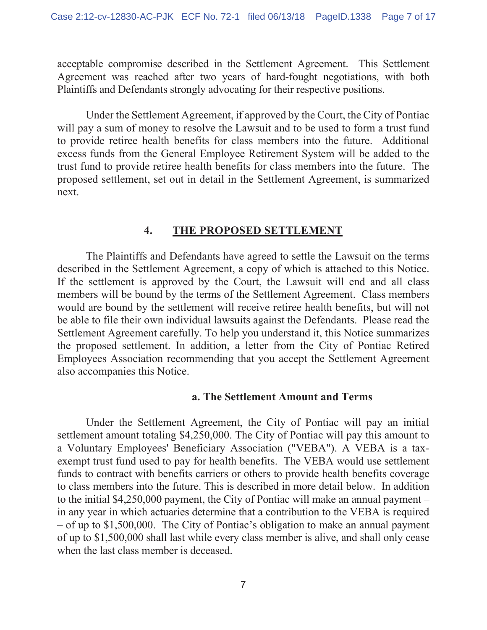acceptable compromise described in the Settlement Agreement. This Settlement Agreement was reached after two years of hard-fought negotiations, with both Plaintiffs and Defendants strongly advocating for their respective positions.

Under the Settlement Agreement, if approved by the Court, the City of Pontiac will pay a sum of money to resolve the Lawsuit and to be used to form a trust fund to provide retiree health benefits for class members into the future. Additional excess funds from the General Employee Retirement System will be added to the trust fund to provide retiree health benefits for class members into the future. The proposed settlement, set out in detail in the Settlement Agreement, is summarized next.

### **4. THE PROPOSED SETTLEMENT**

The Plaintiffs and Defendants have agreed to settle the Lawsuit on the terms described in the Settlement Agreement, a copy of which is attached to this Notice. If the settlement is approved by the Court, the Lawsuit will end and all class members will be bound by the terms of the Settlement Agreement. Class members would are bound by the settlement will receive retiree health benefits, but will not be able to file their own individual lawsuits against the Defendants. Please read the Settlement Agreement carefully. To help you understand it, this Notice summarizes the proposed settlement. In addition, a letter from the City of Pontiac Retired Employees Association recommending that you accept the Settlement Agreement also accompanies this Notice.

#### **a. The Settlement Amount and Terms**

Under the Settlement Agreement, the City of Pontiac will pay an initial settlement amount totaling \$4,250,000. The City of Pontiac will pay this amount to a Voluntary Employees' Beneficiary Association ("VEBA"). A VEBA is a taxexempt trust fund used to pay for health benefits. The VEBA would use settlement funds to contract with benefits carriers or others to provide health benefits coverage to class members into the future. This is described in more detail below. In addition to the initial \$4,250,000 payment, the City of Pontiac will make an annual payment – in any year in which actuaries determine that a contribution to the VEBA is required – of up to \$1,500,000. The City of Pontiac's obligation to make an annual payment of up to \$1,500,000 shall last while every class member is alive, and shall only cease when the last class member is deceased.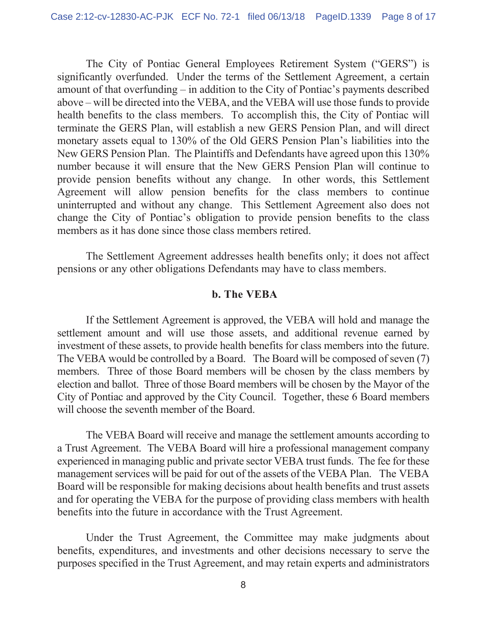The City of Pontiac General Employees Retirement System ("GERS") is significantly overfunded. Under the terms of the Settlement Agreement, a certain amount of that overfunding – in addition to the City of Pontiac's payments described above – will be directed into the VEBA, and the VEBA will use those funds to provide health benefits to the class members. To accomplish this, the City of Pontiac will terminate the GERS Plan, will establish a new GERS Pension Plan, and will direct monetary assets equal to 130% of the Old GERS Pension Plan's liabilities into the New GERS Pension Plan. The Plaintiffs and Defendants have agreed upon this 130% number because it will ensure that the New GERS Pension Plan will continue to provide pension benefits without any change. In other words, this Settlement Agreement will allow pension benefits for the class members to continue uninterrupted and without any change. This Settlement Agreement also does not change the City of Pontiac's obligation to provide pension benefits to the class members as it has done since those class members retired.

The Settlement Agreement addresses health benefits only; it does not affect pensions or any other obligations Defendants may have to class members.

#### **b. The VEBA**

If the Settlement Agreement is approved, the VEBA will hold and manage the settlement amount and will use those assets, and additional revenue earned by investment of these assets, to provide health benefits for class members into the future. The VEBA would be controlled by a Board. The Board will be composed of seven (7) members. Three of those Board members will be chosen by the class members by election and ballot. Three of those Board members will be chosen by the Mayor of the City of Pontiac and approved by the City Council. Together, these 6 Board members will choose the seventh member of the Board.

The VEBA Board will receive and manage the settlement amounts according to a Trust Agreement. The VEBA Board will hire a professional management company experienced in managing public and private sector VEBA trust funds. The fee for these management services will be paid for out of the assets of the VEBA Plan. The VEBA Board will be responsible for making decisions about health benefits and trust assets and for operating the VEBA for the purpose of providing class members with health benefits into the future in accordance with the Trust Agreement.

Under the Trust Agreement, the Committee may make judgments about benefits, expenditures, and investments and other decisions necessary to serve the purposes specified in the Trust Agreement, and may retain experts and administrators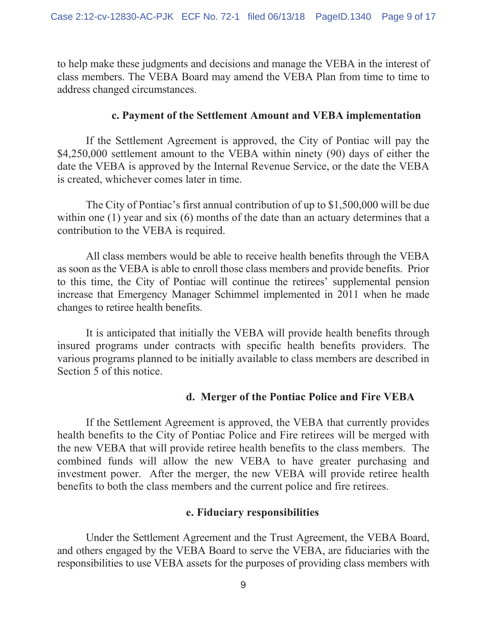to help make these judgments and decisions and manage the VEBA in the interest of class members. The VEBA Board may amend the VEBA Plan from time to time to address changed circumstances.

### **c. Payment of the Settlement Amount and VEBA implementation**

If the Settlement Agreement is approved, the City of Pontiac will pay the \$4,250,000 settlement amount to the VEBA within ninety (90) days of either the date the VEBA is approved by the Internal Revenue Service, or the date the VEBA is created, whichever comes later in time.

The City of Pontiac's first annual contribution of up to \$1,500,000 will be due within one (1) year and six (6) months of the date than an actuary determines that a contribution to the VEBA is required.

All class members would be able to receive health benefits through the VEBA as soon as the VEBA is able to enroll those class members and provide benefits. Prior to this time, the City of Pontiac will continue the retirees' supplemental pension increase that Emergency Manager Schimmel implemented in 2011 when he made changes to retiree health benefits.

It is anticipated that initially the VEBA will provide health benefits through insured programs under contracts with specific health benefits providers. The various programs planned to be initially available to class members are described in Section 5 of this notice.

## **d. Merger of the Pontiac Police and Fire VEBA**

If the Settlement Agreement is approved, the VEBA that currently provides health benefits to the City of Pontiac Police and Fire retirees will be merged with the new VEBA that will provide retiree health benefits to the class members. The combined funds will allow the new VEBA to have greater purchasing and investment power. After the merger, the new VEBA will provide retiree health benefits to both the class members and the current police and fire retirees.

### **e. Fiduciary responsibilities**

Under the Settlement Agreement and the Trust Agreement, the VEBA Board, and others engaged by the VEBA Board to serve the VEBA, are fiduciaries with the responsibilities to use VEBA assets for the purposes of providing class members with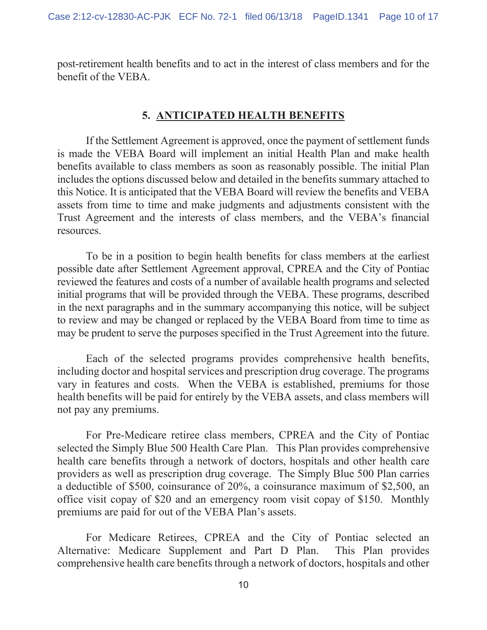post-retirement health benefits and to act in the interest of class members and for the benefit of the VEBA.

#### **5. ANTICIPATED HEALTH BENEFITS**

If the Settlement Agreement is approved, once the payment of settlement funds is made the VEBA Board will implement an initial Health Plan and make health benefits available to class members as soon as reasonably possible. The initial Plan includes the options discussed below and detailed in the benefits summary attached to this Notice. It is anticipated that the VEBA Board will review the benefits and VEBA assets from time to time and make judgments and adjustments consistent with the Trust Agreement and the interests of class members, and the VEBA's financial resources.

To be in a position to begin health benefits for class members at the earliest possible date after Settlement Agreement approval, CPREA and the City of Pontiac reviewed the features and costs of a number of available health programs and selected initial programs that will be provided through the VEBA. These programs, described in the next paragraphs and in the summary accompanying this notice, will be subject to review and may be changed or replaced by the VEBA Board from time to time as may be prudent to serve the purposes specified in the Trust Agreement into the future.

Each of the selected programs provides comprehensive health benefits, including doctor and hospital services and prescription drug coverage. The programs vary in features and costs. When the VEBA is established, premiums for those health benefits will be paid for entirely by the VEBA assets, and class members will not pay any premiums.

For Pre-Medicare retiree class members, CPREA and the City of Pontiac selected the Simply Blue 500 Health Care Plan. This Plan provides comprehensive health care benefits through a network of doctors, hospitals and other health care providers as well as prescription drug coverage. The Simply Blue 500 Plan carries a deductible of \$500, coinsurance of 20%, a coinsurance maximum of \$2,500, an office visit copay of \$20 and an emergency room visit copay of \$150. Monthly premiums are paid for out of the VEBA Plan's assets.

For Medicare Retirees, CPREA and the City of Pontiac selected an Alternative: Medicare Supplement and Part D Plan. This Plan provides comprehensive health care benefits through a network of doctors, hospitals and other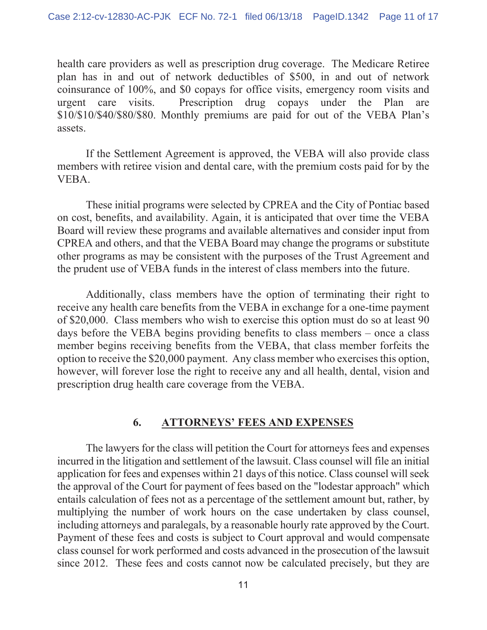health care providers as well as prescription drug coverage. The Medicare Retiree plan has in and out of network deductibles of \$500, in and out of network coinsurance of 100%, and \$0 copays for office visits, emergency room visits and urgent care visits. Prescription drug copays under the Plan are \$10/\$10/\$40/\$80/\$80. Monthly premiums are paid for out of the VEBA Plan's assets.

If the Settlement Agreement is approved, the VEBA will also provide class members with retiree vision and dental care, with the premium costs paid for by the VEBA.

These initial programs were selected by CPREA and the City of Pontiac based on cost, benefits, and availability. Again, it is anticipated that over time the VEBA Board will review these programs and available alternatives and consider input from CPREA and others, and that the VEBA Board may change the programs or substitute other programs as may be consistent with the purposes of the Trust Agreement and the prudent use of VEBA funds in the interest of class members into the future.

Additionally, class members have the option of terminating their right to receive any health care benefits from the VEBA in exchange for a one-time payment of \$20,000. Class members who wish to exercise this option must do so at least 90 days before the VEBA begins providing benefits to class members – once a class member begins receiving benefits from the VEBA, that class member forfeits the option to receive the \$20,000 payment. Any class member who exercises this option, however, will forever lose the right to receive any and all health, dental, vision and prescription drug health care coverage from the VEBA.

## **6. ATTORNEYS' FEES AND EXPENSES**

The lawyers for the class will petition the Court for attorneys fees and expenses incurred in the litigation and settlement of the lawsuit. Class counsel will file an initial application for fees and expenses within 21 days of this notice. Class counsel will seek the approval of the Court for payment of fees based on the "lodestar approach" which entails calculation of fees not as a percentage of the settlement amount but, rather, by multiplying the number of work hours on the case undertaken by class counsel, including attorneys and paralegals, by a reasonable hourly rate approved by the Court. Payment of these fees and costs is subject to Court approval and would compensate class counsel for work performed and costs advanced in the prosecution of the lawsuit since 2012. These fees and costs cannot now be calculated precisely, but they are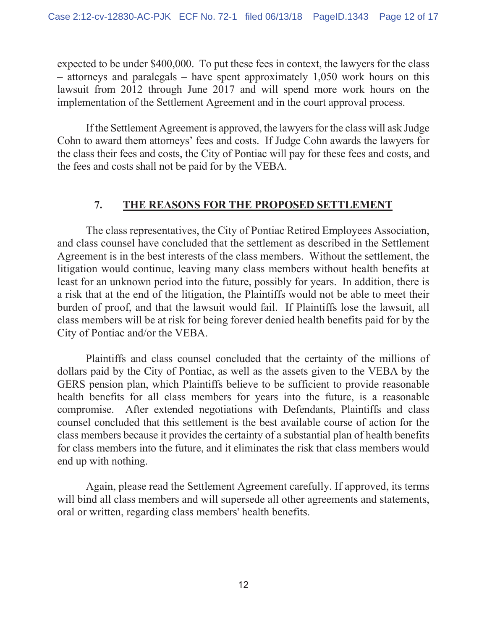expected to be under \$400,000. To put these fees in context, the lawyers for the class – attorneys and paralegals – have spent approximately 1,050 work hours on this lawsuit from 2012 through June 2017 and will spend more work hours on the implementation of the Settlement Agreement and in the court approval process.

If the Settlement Agreement is approved, the lawyers for the class will ask Judge Cohn to award them attorneys' fees and costs. If Judge Cohn awards the lawyers for the class their fees and costs, the City of Pontiac will pay for these fees and costs, and the fees and costs shall not be paid for by the VEBA.

## **7. THE REASONS FOR THE PROPOSED SETTLEMENT**

The class representatives, the City of Pontiac Retired Employees Association, and class counsel have concluded that the settlement as described in the Settlement Agreement is in the best interests of the class members. Without the settlement, the litigation would continue, leaving many class members without health benefits at least for an unknown period into the future, possibly for years. In addition, there is a risk that at the end of the litigation, the Plaintiffs would not be able to meet their burden of proof, and that the lawsuit would fail. If Plaintiffs lose the lawsuit, all class members will be at risk for being forever denied health benefits paid for by the City of Pontiac and/or the VEBA.

Plaintiffs and class counsel concluded that the certainty of the millions of dollars paid by the City of Pontiac, as well as the assets given to the VEBA by the GERS pension plan, which Plaintiffs believe to be sufficient to provide reasonable health benefits for all class members for years into the future, is a reasonable compromise. After extended negotiations with Defendants, Plaintiffs and class counsel concluded that this settlement is the best available course of action for the class members because it provides the certainty of a substantial plan of health benefits for class members into the future, and it eliminates the risk that class members would end up with nothing.

Again, please read the Settlement Agreement carefully. If approved, its terms will bind all class members and will supersede all other agreements and statements, oral or written, regarding class members' health benefits.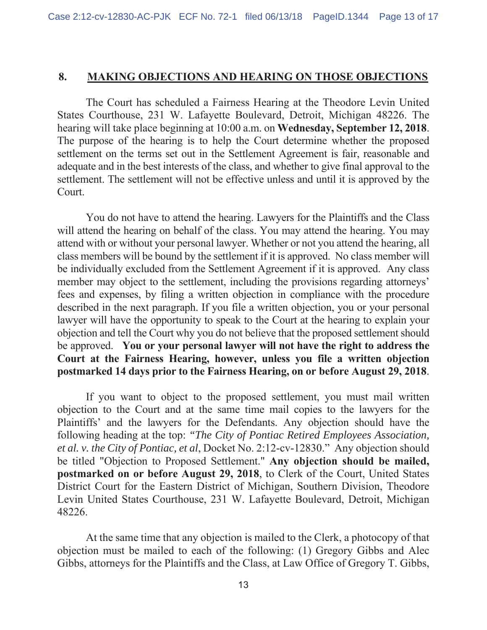#### **8. MAKING OBJECTIONS AND HEARING ON THOSE OBJECTIONS**

The Court has scheduled a Fairness Hearing at the Theodore Levin United States Courthouse, 231 W. Lafayette Boulevard, Detroit, Michigan 48226. The hearing will take place beginning at 10:00 a.m. on **Wednesday, September 12, 2018**. The purpose of the hearing is to help the Court determine whether the proposed settlement on the terms set out in the Settlement Agreement is fair, reasonable and adequate and in the best interests of the class, and whether to give final approval to the settlement. The settlement will not be effective unless and until it is approved by the Court.

You do not have to attend the hearing. Lawyers for the Plaintiffs and the Class will attend the hearing on behalf of the class. You may attend the hearing. You may attend with or without your personal lawyer. Whether or not you attend the hearing, all class members will be bound by the settlement if it is approved. No class member will be individually excluded from the Settlement Agreement if it is approved. Any class member may object to the settlement, including the provisions regarding attorneys' fees and expenses, by filing a written objection in compliance with the procedure described in the next paragraph. If you file a written objection, you or your personal lawyer will have the opportunity to speak to the Court at the hearing to explain your objection and tell the Court why you do not believe that the proposed settlement should be approved. **You or your personal lawyer will not have the right to address the Court at the Fairness Hearing, however, unless you file a written objection postmarked 14 days prior to the Fairness Hearing, on or before August 29, 2018**.

If you want to object to the proposed settlement, you must mail written objection to the Court and at the same time mail copies to the lawyers for the Plaintiffs' and the lawyers for the Defendants. Any objection should have the following heading at the top: *"The City of Pontiac Retired Employees Association, et al. v. the City of Pontiac, et al*, Docket No. 2:12-cv-12830." Any objection should be titled "Objection to Proposed Settlement." **Any objection should be mailed, postmarked on or before August 29, 2018**, to Clerk of the Court, United States District Court for the Eastern District of Michigan, Southern Division, Theodore Levin United States Courthouse, 231 W. Lafayette Boulevard, Detroit, Michigan 48226.

At the same time that any objection is mailed to the Clerk, a photocopy of that objection must be mailed to each of the following: (1) Gregory Gibbs and Alec Gibbs, attorneys for the Plaintiffs and the Class, at Law Office of Gregory T. Gibbs,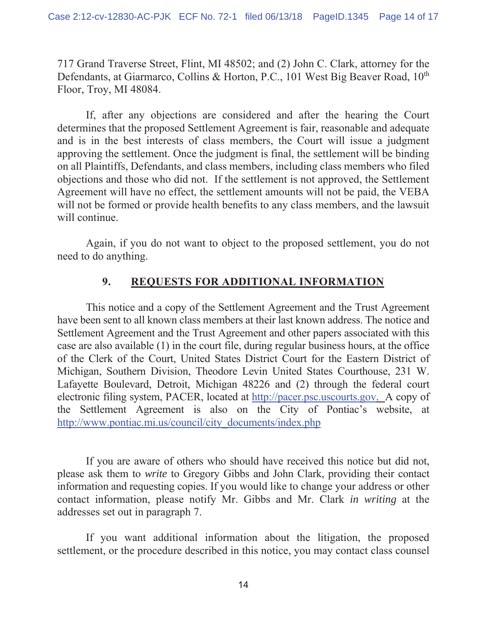717 Grand Traverse Street, Flint, MI 48502; and (2) John C. Clark, attorney for the Defendants, at Giarmarco, Collins & Horton, P.C., 101 West Big Beaver Road, 10<sup>th</sup> Floor, Troy, MI 48084.

If, after any objections are considered and after the hearing the Court determines that the proposed Settlement Agreement is fair, reasonable and adequate and is in the best interests of class members, the Court will issue a judgment approving the settlement. Once the judgment is final, the settlement will be binding on all Plaintiffs, Defendants, and class members, including class members who filed objections and those who did not. If the settlement is not approved, the Settlement Agreement will have no effect, the settlement amounts will not be paid, the VEBA will not be formed or provide health benefits to any class members, and the lawsuit will continue.

Again, if you do not want to object to the proposed settlement, you do not need to do anything.

## **9. REQUESTS FOR ADDITIONAL INFORMATION**

This notice and a copy of the Settlement Agreement and the Trust Agreement have been sent to all known class members at their last known address. The notice and Settlement Agreement and the Trust Agreement and other papers associated with this case are also available (1) in the court file, during regular business hours, at the office of the Clerk of the Court, United States District Court for the Eastern District of Michigan, Southern Division, Theodore Levin United States Courthouse, 231 W. Lafayette Boulevard, Detroit, Michigan 48226 and (2) through the federal court electronic filing system, PACER, located at http://pacer.psc.uscourts.gov. A copy of the Settlement Agreement is also on the City of Pontiac's website, at http://www.pontiac.mi.us/council/city\_documents/index.php

If you are aware of others who should have received this notice but did not, please ask them to *write* to Gregory Gibbs and John Clark, providing their contact information and requesting copies. If you would like to change your address or other contact information, please notify Mr. Gibbs and Mr. Clark *in writing* at the addresses set out in paragraph 7.

If you want additional information about the litigation, the proposed settlement, or the procedure described in this notice, you may contact class counsel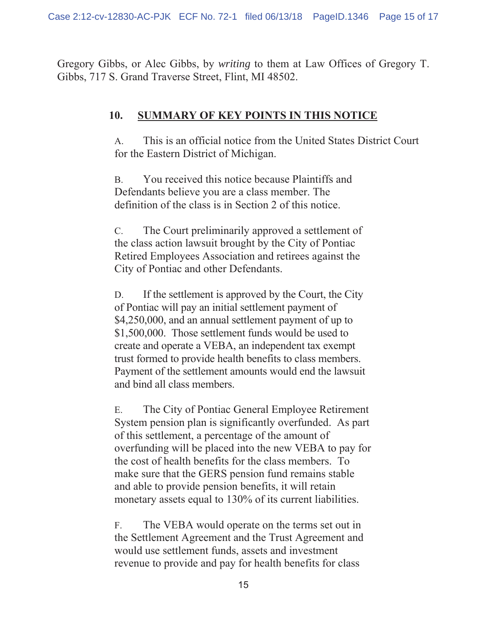Gregory Gibbs, or Alec Gibbs, by *writing* to them at Law Offices of Gregory T. Gibbs, 717 S. Grand Traverse Street, Flint, MI 48502.

## **10. SUMMARY OF KEY POINTS IN THIS NOTICE**

A. This is an official notice from the United States District Court for the Eastern District of Michigan.

B. You received this notice because Plaintiffs and Defendants believe you are a class member. The definition of the class is in Section 2 of this notice.

C. The Court preliminarily approved a settlement of the class action lawsuit brought by the City of Pontiac Retired Employees Association and retirees against the City of Pontiac and other Defendants.

D. If the settlement is approved by the Court, the City of Pontiac will pay an initial settlement payment of \$4,250,000, and an annual settlement payment of up to \$1,500,000. Those settlement funds would be used to create and operate a VEBA, an independent tax exempt trust formed to provide health benefits to class members. Payment of the settlement amounts would end the lawsuit and bind all class members.

E. The City of Pontiac General Employee Retirement System pension plan is significantly overfunded. As part of this settlement, a percentage of the amount of overfunding will be placed into the new VEBA to pay for the cost of health benefits for the class members. To make sure that the GERS pension fund remains stable and able to provide pension benefits, it will retain monetary assets equal to 130% of its current liabilities.

F. The VEBA would operate on the terms set out in the Settlement Agreement and the Trust Agreement and would use settlement funds, assets and investment revenue to provide and pay for health benefits for class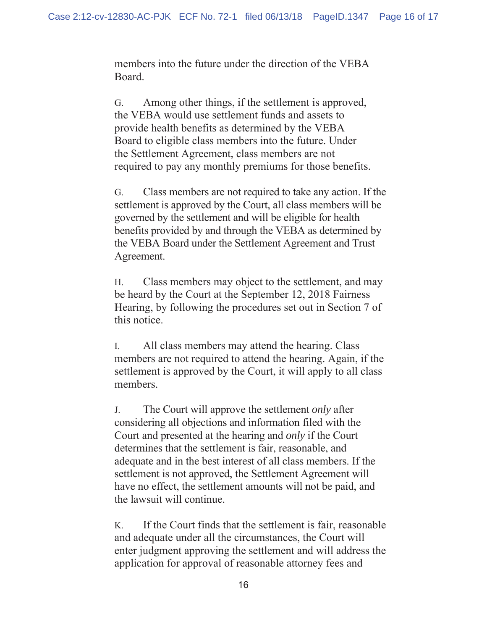members into the future under the direction of the VEBA Board.

G. Among other things, if the settlement is approved, the VEBA would use settlement funds and assets to provide health benefits as determined by the VEBA Board to eligible class members into the future. Under the Settlement Agreement, class members are not required to pay any monthly premiums for those benefits.

G. Class members are not required to take any action. If the settlement is approved by the Court, all class members will be governed by the settlement and will be eligible for health benefits provided by and through the VEBA as determined by the VEBA Board under the Settlement Agreement and Trust Agreement.

H. Class members may object to the settlement, and may be heard by the Court at the September 12, 2018 Fairness Hearing, by following the procedures set out in Section 7 of this notice.

I. All class members may attend the hearing. Class members are not required to attend the hearing. Again, if the settlement is approved by the Court, it will apply to all class members.

J. The Court will approve the settlement *only* after considering all objections and information filed with the Court and presented at the hearing and *only* if the Court determines that the settlement is fair, reasonable, and adequate and in the best interest of all class members. If the settlement is not approved, the Settlement Agreement will have no effect, the settlement amounts will not be paid, and the lawsuit will continue.

K. If the Court finds that the settlement is fair, reasonable and adequate under all the circumstances, the Court will enter judgment approving the settlement and will address the application for approval of reasonable attorney fees and